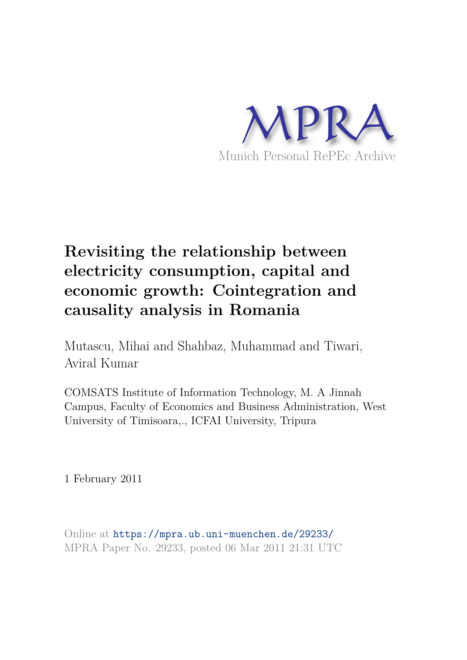

# **Revisiting the relationship between electricity consumption, capital and economic growth: Cointegration and causality analysis in Romania**

Mutascu, Mihai and Shahbaz, Muhammad and Tiwari, Aviral Kumar

COMSATS Institute of Information Technology, M. A Jinnah Campus, Faculty of Economics and Business Administration, West University of Timisoara,., ICFAI University, Tripura

1 February 2011

Online at https://mpra.ub.uni-muenchen.de/29233/ MPRA Paper No. 29233, posted 06 Mar 2011 21:31 UTC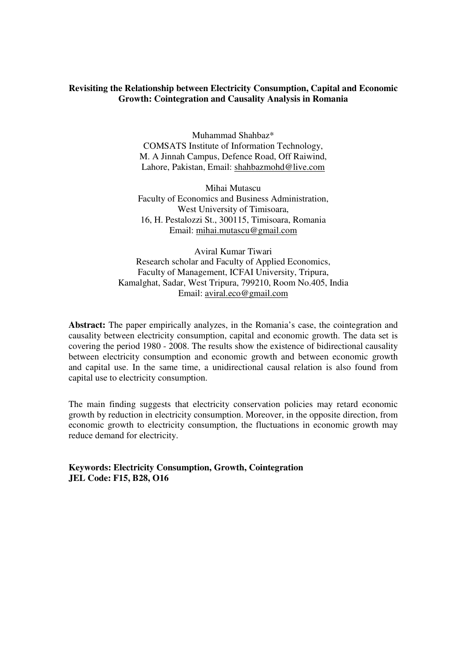## **Revisiting the Relationship between Electricity Consumption, Capital and Economic Growth: Cointegration and Causality Analysis in Romania**

Muhammad Shahbaz\* COMSATS Institute of Information Technology, M. A Jinnah Campus, Defence Road, Off Raiwind, Lahore, Pakistan, Email: shahbazmohd@live.com

Mihai Mutascu Faculty of Economics and Business Administration, West University of Timisoara, 16, H. Pestalozzi St., 300115, Timisoara, Romania Email: mihai.mutascu@gmail.com

Aviral Kumar Tiwari Research scholar and Faculty of Applied Economics, Faculty of Management, ICFAI University, Tripura, Kamalghat, Sadar, West Tripura, 799210, Room No.405, India Email: aviral.eco@gmail.com

**Abstract:** The paper empirically analyzes, in the Romania's case, the cointegration and causality between electricity consumption, capital and economic growth. The data set is covering the period 1980 - 2008. The results show the existence of bidirectional causality between electricity consumption and economic growth and between economic growth and capital use. In the same time, a unidirectional causal relation is also found from capital use to electricity consumption.

The main finding suggests that electricity conservation policies may retard economic growth by reduction in electricity consumption. Moreover, in the opposite direction, from economic growth to electricity consumption, the fluctuations in economic growth may reduce demand for electricity.

**Keywords: Electricity Consumption, Growth, Cointegration JEL Code: F15, B28, O16**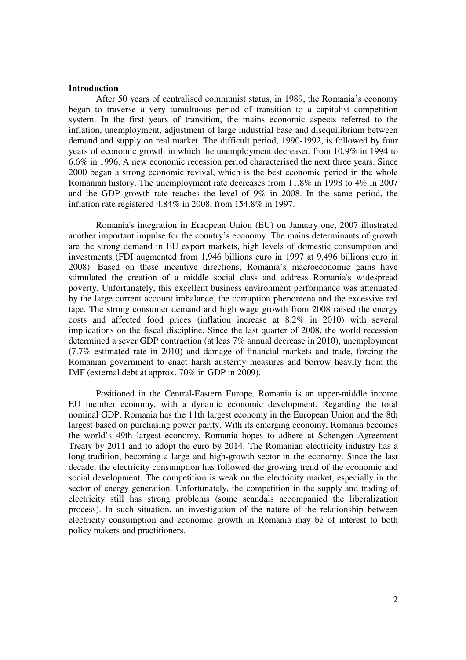#### **Introduction**

After 50 years of centralised communist status, in 1989, the Romania's economy began to traverse a very tumultuous period of transition to a capitalist competition system. In the first years of transition, the mains economic aspects referred to the inflation, unemployment, adjustment of large industrial base and disequilibrium between demand and supply on real market. The difficult period, 1990-1992, is followed by four years of economic growth in which the unemployment decreased from 10.9% in 1994 to 6.6% in 1996. A new economic recession period characterised the next three years. Since 2000 began a strong economic revival, which is the best economic period in the whole Romanian history. The unemployment rate decreases from 11.8% in 1998 to 4% in 2007 and the GDP growth rate reaches the level of 9% in 2008. In the same period, the inflation rate registered 4.84% in 2008, from 154.8% in 1997.

Romania's integration in European Union (EU) on January one, 2007 illustrated another important impulse for the country's economy. The mains determinants of growth are the strong demand in EU export markets, high levels of domestic consumption and investments (FDI augmented from 1,946 billions euro in 1997 at 9,496 billions euro in 2008). Based on these incentive directions, Romania's macroeconomic gains have stimulated the creation of a middle social class and address Romania's widespread poverty. Unfortunately, this excellent business environment performance was attenuated by the large current account imbalance, the corruption phenomena and the excessive red tape. The strong consumer demand and high wage growth from 2008 raised the energy costs and affected food prices (inflation increase at 8.2% in 2010) with several implications on the fiscal discipline. Since the last quarter of 2008, the world recession determined a sever GDP contraction (at leas 7% annual decrease in 2010), unemployment (7.7% estimated rate in 2010) and damage of financial markets and trade, forcing the Romanian government to enact harsh austerity measures and borrow heavily from the IMF (external debt at approx. 70% in GDP in 2009).

Positioned in the Central-Eastern Europe, Romania is an upper-middle income EU member economy, with a dynamic economic development. Regarding the total nominal GDP, Romania has the 11th largest economy in the European Union and the 8th largest based on purchasing power parity. With its emerging economy, Romania becomes the world's 49th largest economy. Romania hopes to adhere at Schengen Agreement Treaty by 2011 and to adopt the euro by 2014. The Romanian electricity industry has a long tradition, becoming a large and high-growth sector in the economy. Since the last decade, the electricity consumption has followed the growing trend of the economic and social development. The competition is weak on the electricity market, especially in the sector of energy generation. Unfortunately, the competition in the supply and trading of electricity still has strong problems (some scandals accompanied the liberalization process). In such situation, an investigation of the nature of the relationship between electricity consumption and economic growth in Romania may be of interest to both policy makers and practitioners.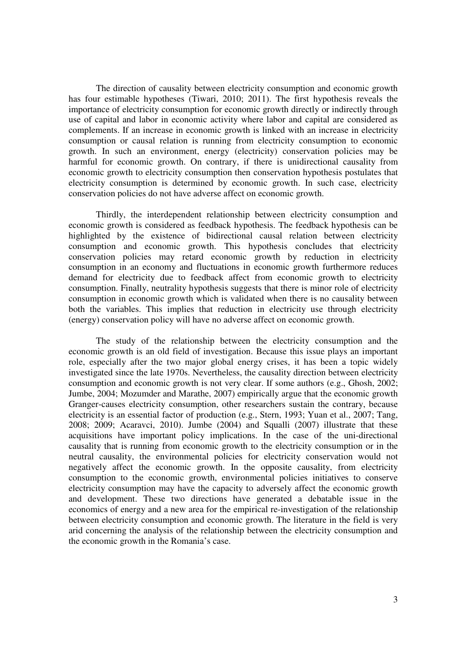The direction of causality between electricity consumption and economic growth has four estimable hypotheses (Tiwari, 2010; 2011). The first hypothesis reveals the importance of electricity consumption for economic growth directly or indirectly through use of capital and labor in economic activity where labor and capital are considered as complements. If an increase in economic growth is linked with an increase in electricity consumption or causal relation is running from electricity consumption to economic growth. In such an environment, energy (electricity) conservation policies may be harmful for economic growth. On contrary, if there is unidirectional causality from economic growth to electricity consumption then conservation hypothesis postulates that electricity consumption is determined by economic growth. In such case, electricity conservation policies do not have adverse affect on economic growth.

Thirdly, the interdependent relationship between electricity consumption and economic growth is considered as feedback hypothesis. The feedback hypothesis can be highlighted by the existence of bidirectional causal relation between electricity consumption and economic growth. This hypothesis concludes that electricity conservation policies may retard economic growth by reduction in electricity consumption in an economy and fluctuations in economic growth furthermore reduces demand for electricity due to feedback affect from economic growth to electricity consumption. Finally, neutrality hypothesis suggests that there is minor role of electricity consumption in economic growth which is validated when there is no causality between both the variables. This implies that reduction in electricity use through electricity (energy) conservation policy will have no adverse affect on economic growth.

The study of the relationship between the electricity consumption and the economic growth is an old field of investigation. Because this issue plays an important role, especially after the two major global energy crises, it has been a topic widely investigated since the late 1970s. Nevertheless, the causality direction between electricity consumption and economic growth is not very clear. If some authors (e.g., Ghosh, 2002; Jumbe, 2004; Mozumder and Marathe, 2007) empirically argue that the economic growth Granger-causes electricity consumption, other researchers sustain the contrary, because electricity is an essential factor of production (e.g., Stern, 1993; Yuan et al., 2007; Tang, 2008; 2009; Acaravci, 2010). Jumbe (2004) and Squalli (2007) illustrate that these acquisitions have important policy implications. In the case of the uni-directional causality that is running from economic growth to the electricity consumption or in the neutral causality, the environmental policies for electricity conservation would not negatively affect the economic growth. In the opposite causality, from electricity consumption to the economic growth, environmental policies initiatives to conserve electricity consumption may have the capacity to adversely affect the economic growth and development. These two directions have generated a debatable issue in the economics of energy and a new area for the empirical re-investigation of the relationship between electricity consumption and economic growth. The literature in the field is very arid concerning the analysis of the relationship between the electricity consumption and the economic growth in the Romania's case.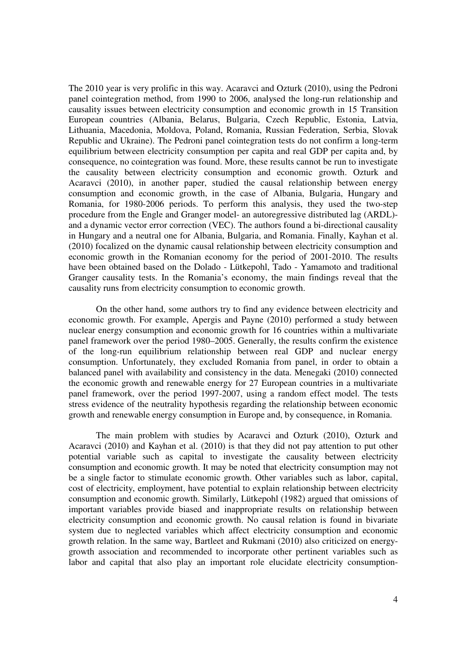The 2010 year is very prolific in this way. Acaravci and Ozturk (2010), using the Pedroni panel cointegration method, from 1990 to 2006, analysed the long-run relationship and causality issues between electricity consumption and economic growth in 15 Transition European countries (Albania, Belarus, Bulgaria, Czech Republic, Estonia, Latvia, Lithuania, Macedonia, Moldova, Poland, Romania, Russian Federation, Serbia, Slovak Republic and Ukraine). The Pedroni panel cointegration tests do not confirm a long-term equilibrium between electricity consumption per capita and real GDP per capita and, by consequence, no cointegration was found. More, these results cannot be run to investigate the causality between electricity consumption and economic growth. Ozturk and Acaravci (2010), in another paper, studied the causal relationship between energy consumption and economic growth, in the case of Albania, Bulgaria, Hungary and Romania, for 1980-2006 periods. To perform this analysis, they used the two-step procedure from the Engle and Granger model- an autoregressive distributed lag (ARDL) and a dynamic vector error correction (VEC). The authors found a bi-directional causality in Hungary and a neutral one for Albania, Bulgaria, and Romania. Finally, Kayhan et al. (2010) focalized on the dynamic causal relationship between electricity consumption and economic growth in the Romanian economy for the period of 2001-2010. The results have been obtained based on the Dolado - Lütkepohl, Tado - Yamamoto and traditional Granger causality tests. In the Romania's economy, the main findings reveal that the causality runs from electricity consumption to economic growth.

On the other hand, some authors try to find any evidence between electricity and economic growth. For example, Apergis and Payne (2010) performed a study between nuclear energy consumption and economic growth for 16 countries within a multivariate panel framework over the period 1980–2005. Generally, the results confirm the existence of the long-run equilibrium relationship between real GDP and nuclear energy consumption. Unfortunately, they excluded Romania from panel, in order to obtain a balanced panel with availability and consistency in the data. Menegaki (2010) connected the economic growth and renewable energy for 27 European countries in a multivariate panel framework, over the period 1997-2007, using a random effect model. The tests stress evidence of the neutrality hypothesis regarding the relationship between economic growth and renewable energy consumption in Europe and, by consequence, in Romania.

The main problem with studies by Acaravci and Ozturk (2010), Ozturk and Acaravci (2010) and Kayhan et al. (2010) is that they did not pay attention to put other potential variable such as capital to investigate the causality between electricity consumption and economic growth. It may be noted that electricity consumption may not be a single factor to stimulate economic growth. Other variables such as labor, capital, cost of electricity, employment, have potential to explain relationship between electricity consumption and economic growth. Similarly, Lütkepohl (1982) argued that omissions of important variables provide biased and inappropriate results on relationship between electricity consumption and economic growth. No causal relation is found in bivariate system due to neglected variables which affect electricity consumption and economic growth relation. In the same way, Bartleet and Rukmani (2010) also criticized on energygrowth association and recommended to incorporate other pertinent variables such as labor and capital that also play an important role elucidate electricity consumption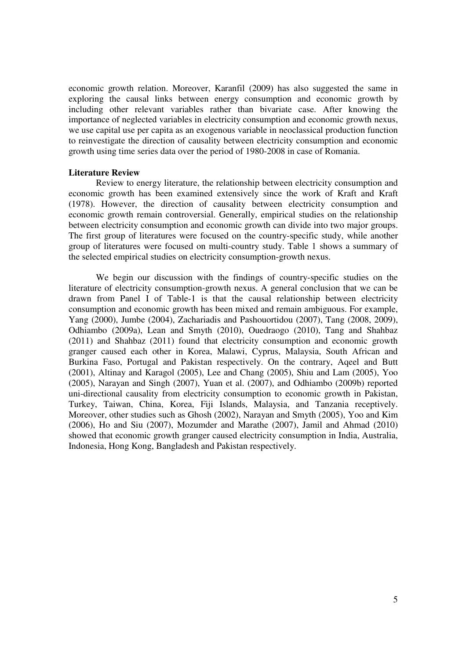economic growth relation. Moreover, Karanfil (2009) has also suggested the same in exploring the causal links between energy consumption and economic growth by including other relevant variables rather than bivariate case. After knowing the importance of neglected variables in electricity consumption and economic growth nexus, we use capital use per capita as an exogenous variable in neoclassical production function to reinvestigate the direction of causality between electricity consumption and economic growth using time series data over the period of 1980-2008 in case of Romania.

#### **Literature Review**

Review to energy literature, the relationship between electricity consumption and economic growth has been examined extensively since the work of Kraft and Kraft (1978). However, the direction of causality between electricity consumption and economic growth remain controversial. Generally, empirical studies on the relationship between electricity consumption and economic growth can divide into two major groups. The first group of literatures were focused on the country-specific study, while another group of literatures were focused on multi-country study. Table 1 shows a summary of the selected empirical studies on electricity consumption-growth nexus.

We begin our discussion with the findings of country-specific studies on the literature of electricity consumption-growth nexus. A general conclusion that we can be drawn from Panel I of Table-1 is that the causal relationship between electricity consumption and economic growth has been mixed and remain ambiguous. For example, Yang (2000), Jumbe (2004), Zachariadis and Pashouortidou (2007), Tang (2008, 2009), Odhiambo (2009a), Lean and Smyth (2010), Ouedraogo (2010), Tang and Shahbaz (2011) and Shahbaz (2011) found that electricity consumption and economic growth granger caused each other in Korea, Malawi, Cyprus, Malaysia, South African and Burkina Faso, Portugal and Pakistan respectively. On the contrary, Aqeel and Butt (2001), Altinay and Karagol (2005), Lee and Chang (2005), Shiu and Lam (2005), Yoo (2005), Narayan and Singh (2007), Yuan et al. (2007), and Odhiambo (2009b) reported uni-directional causality from electricity consumption to economic growth in Pakistan, Turkey, Taiwan, China, Korea, Fiji Islands, Malaysia, and Tanzania receptively. Moreover, other studies such as Ghosh (2002), Narayan and Smyth (2005), Yoo and Kim (2006), Ho and Siu (2007), Mozumder and Marathe (2007), Jamil and Ahmad (2010) showed that economic growth granger caused electricity consumption in India, Australia, Indonesia, Hong Kong, Bangladesh and Pakistan respectively.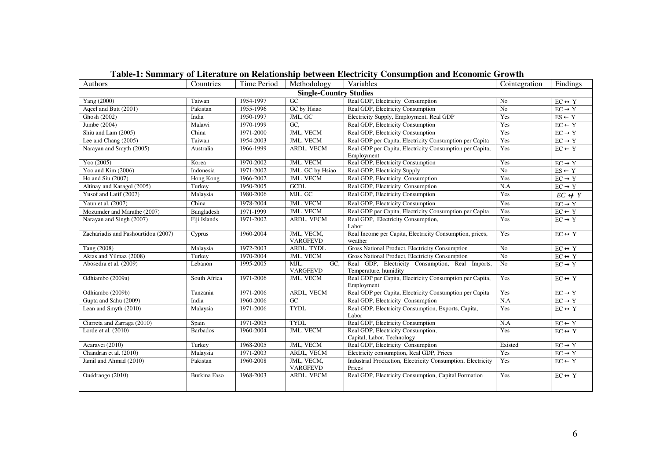| Authors                             | Countries       | Time Period | Methodology                    | Variables                                                                 | Cointegration  | Findings                            |
|-------------------------------------|-----------------|-------------|--------------------------------|---------------------------------------------------------------------------|----------------|-------------------------------------|
|                                     |                 |             | <b>Single-Country Studies</b>  |                                                                           |                |                                     |
| Yang (2000)                         | Taiwan          | 1954-1997   | GC                             | Real GDP, Electricity Consumption                                         | N <sub>0</sub> | $EC \leftrightarrow Y$              |
| Aqeel and Butt (2001)               | Pakistan        | 1955-1996   | GC by Hsiao                    | Real GDP, Electricity Consumption                                         | N <sub>o</sub> | $\overline{EC \rightarrow Y}$       |
| Ghosh (2002)                        | India           | 1950-1997   | JML, GC                        | Electricity Supply, Employment, Real GDP                                  | Yes            | $ES \leftarrow Y$                   |
| Jumbe (2004)                        | Malawi          | 1970-1999   | GC.                            | Real GDP, Electricity Consumption                                         | Yes            | $\mathsf{EC} \leftarrow \mathsf{Y}$ |
| Shiu and Lam (2005)                 | China           | 1971-2000   | <b>JML, VECM</b>               | Real GDP, Electricity Consumption                                         | Yes            | $EC \rightarrow Y$                  |
| Lee and Chang (2005)                | Taiwan          | 1954-2003   | <b>JML, VECM</b>               | Real GDP per Capita, Electricity Consumption per Capita                   | Yes            | $EC \rightarrow Y$                  |
| Narayan and Smyth (2005)            | Australia       | 1966-1999   | ARDL, VECM                     | Real GDP per Capita, Electricity Consumption per Capita,<br>Employment    | Yes            | $EC \leftarrow Y$                   |
| Yoo $(2005)$                        | Korea           | 1970-2002   | <b>JML, VECM</b>               | Real GDP, Electricity Consumption                                         | Yes            | $EC \rightarrow Y$                  |
| Yoo and Kim (2006)                  | Indonesia       | 1971-2002   | JML, GC by Hsiao               | Real GDP, Electricity Supply                                              | No             | $ES \leftarrow Y$                   |
| Ho and Siu (2007)                   | Hong Kong       | 1966-2002   | JML, VECM                      | Real GDP, Electricity Consumption                                         | Yes            | $EC \rightarrow Y$                  |
| Altinay and Karagol (2005)          | Turkey          | 1950-2005   | GCDL                           | Real GDP, Electricity Consumption                                         | N.A            | $EC \rightarrow Y$                  |
| Yusof and Latif (2007)              | Malaysia        | 1980-2006   | MJL, GC                        | Real GDP, Electricity Consumption                                         | Yes            | $EC \nleftrightarrow Y$             |
| Yaun et al. (2007)                  | China           | 1978-2004   | JML, VECM                      | Real GDP, Electricity Consumption                                         | Yes            | $EC \rightarrow Y$                  |
| Mozumder and Marathe (2007)         | Bangladesh      | 1971-1999   | JML, VECM                      | Real GDP per Capita, Electricity Consumption per Capita                   | Yes            | $EC \leftarrow Y$                   |
| Narayan and Singh (2007)            | Fiji Islands    | 1971-2002   | ARDL, VECM                     | Real GDP, Electricity Consumption,<br>Labor                               | Yes            | $EC \rightarrow Y$                  |
| Zachariadis and Pashourtidou (2007) | Cyprus          | 1960-2004   | JML, VECM,<br><b>VARGFEVD</b>  | Real Income per Capita, Electricity Consumption, prices,<br>weather       | Yes            | $EC \leftrightarrow Y$              |
| Tang (2008)                         | Malaysia        | 1972-2003   | ARDL, TYDL                     | Gross National Product, Electricity Consumption                           | No             | $EC \leftrightarrow Y$              |
| Aktas and Yilmaz (2008)             | Turkey          | 1970-2004   | JML, VECM                      | Gross National Product, Electricity Consumption                           | N <sub>o</sub> | $EC \leftrightarrow Y$              |
| Abosedra et al. (2009)              | Lebanon         | 1995-2005   | MJL,<br>GC.<br><b>VARGFEVD</b> | Real GDP, Electricity Consumption, Real Imports,<br>Temperature, humidity | N <sub>0</sub> | $EC \rightarrow Y$                  |
| Odhiambo (2009a)                    | South Africa    | 1971-2006   | JML, VECM                      | Real GDP per Capita, Electricity Consumption per Capita,<br>Employment    | Yes            | $EC \leftrightarrow Y$              |
| Odhiambo (2009b)                    | Tanzania        | 1971-2006   | ARDL, VECM                     | Real GDP per Capita, Electricity Consumption per Capita                   | Yes            | $EC \rightarrow Y$                  |
| Gupta and Sahu (2009)               | India           | 1960-2006   | G <sub>C</sub>                 | Real GDP, Electricity Consumption                                         | N.A            | $EC \to Y$                          |
| Lean and Smyth $(2010)$             | Malaysia        | 1971-2006   | <b>TYDL</b>                    | Real GDP, Electricity Consumption, Exports, Capita,<br>Labor              | Yes            | $\overline{EC \leftrightarrow Y}$   |
| Ciarreta and Zarraga (2010)         | Spain           | 1971-2005   | <b>TYDL</b>                    | Real GDP, Electricity Consumption                                         | N.A            | $EC \leftarrow Y$                   |
| Lorde et al. (2010)                 | <b>Barbados</b> | 1960-2004   | JML, VECM                      | Real GDP, Electricity Consumption,<br>Capital, Labor, Technology          | Yes            | $EC \leftrightarrow Y$              |
| Acaravci (2010)                     | Turkey          | 1968-2005   | JML, VECM                      | Real GDP, Electricity Consumption                                         | Existed        | $EC \rightarrow Y$                  |
| Chandran et al. (2010)              | Malaysia        | 1971-2003   | ARDL, VECM                     | Electricity consumption, Real GDP, Prices                                 | Yes            | $EC \rightarrow Y$                  |
| Jamil and Ahmad (2010)              | Pakistan        | 1960-2008   | JML, VECM,<br>VARGFEVD         | Industrial Production, Electricity Consumption, Electricity<br>Prices     | Yes            | $EC \leftarrow Y$                   |
| Ouédraogo (2010)                    | Burkina Faso    | 1968-2003   | ARDL, VECM                     | Real GDP, Electricity Consumption, Capital Formation                      | Yes            | $EC \leftrightarrow Y$              |

# **Table-1: Summary of Literature on Relationship between Electricity Consumption and Economic Growth**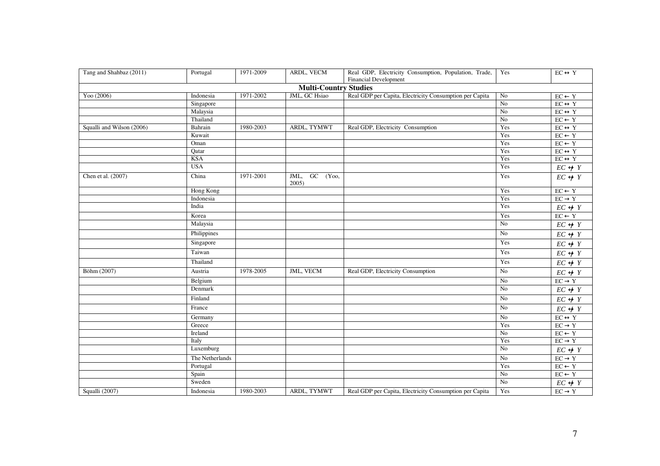| Tang and Shahbaz (2011)   | Portugal        | 1971-2009 | ARDL, VECM                   | Real GDP, Electricity Consumption, Population, Trade,   | Yes              | $\overline{EC} \leftrightarrow Y$          |
|---------------------------|-----------------|-----------|------------------------------|---------------------------------------------------------|------------------|--------------------------------------------|
|                           |                 |           |                              | <b>Financial Development</b>                            |                  |                                            |
|                           |                 |           | <b>Multi-Country Studies</b> |                                                         |                  |                                            |
| Yoo (2006)                | Indonesia       | 1971-2002 | JML, GC Hsiao                | Real GDP per Capita, Electricity Consumption per Capita | No               | $\mathsf{EC} \leftarrow \mathsf{Y}$        |
|                           | Singapore       |           |                              |                                                         | N <sub>o</sub>   | $EC\longleftrightarrow Y$                  |
|                           | Malaysia        |           |                              |                                                         | N <sub>o</sub>   | $EC\longleftrightarrow Y$                  |
|                           | Thailand        |           |                              |                                                         | $\overline{N_0}$ | $EC \leftarrow Y$                          |
| Squalli and Wilson (2006) | Bahrain         | 1980-2003 | ARDL, TYMWT                  | Real GDP, Electricity Consumption                       | Yes              | $EC \leftrightarrow Y$                     |
|                           | Kuwait          |           |                              |                                                         | Yes              | $\overline{\text{EC} \leftarrow \text{Y}}$ |
|                           | Oman            |           |                              |                                                         | Yes              | $\mathsf{EC} \leftarrow \mathsf{Y}$        |
|                           | Qatar           |           |                              |                                                         | Yes              | $EC\leftrightarrow Y$                      |
|                           | <b>KSA</b>      |           |                              |                                                         | Yes              | $EC \leftrightarrow Y$                     |
|                           | <b>USA</b>      |           |                              |                                                         | Yes              | $EC \nleftrightarrow Y$                    |
| Chen et al. (2007)        | China           | 1971-2001 | $GC$ (Yoo,<br>JML,<br>2005)  |                                                         | Yes              | $EC \nleftrightarrow Y$                    |
|                           | Hong Kong       |           |                              |                                                         | Yes              | $EC \leftarrow Y$                          |
|                           | Indonesia       |           |                              |                                                         | Yes              | $EC \rightarrow Y$                         |
|                           | India           |           |                              |                                                         | Yes              | $EC \nleftrightarrow Y$                    |
|                           | Korea           |           |                              |                                                         | Yes              | $EC \leftarrow Y$                          |
|                           | Malaysia        |           |                              |                                                         | N <sub>o</sub>   | $EC \nleftrightarrow Y$                    |
|                           | Philippines     |           |                              |                                                         | No               | $\overline{EC} \nleftrightarrow Y$         |
|                           | Singapore       |           |                              |                                                         | Yes              | $EC \not\leftrightarrow Y$                 |
|                           | Taiwan          |           |                              |                                                         | Yes              | $EC \nleftrightarrow Y$                    |
|                           | Thailand        |           |                              |                                                         | Yes              | $EC \nleftrightarrow Y$                    |
| Böhm (2007)               | Austria         | 1978-2005 | <b>JML, VECM</b>             | Real GDP, Electricity Consumption                       | N <sub>o</sub>   | $EC \nleftrightarrow Y$                    |
|                           | Belgium         |           |                              |                                                         | No               | $EC \rightarrow Y$                         |
|                           | Denmark         |           |                              |                                                         | No               | $EC \nleftrightarrow Y$                    |
|                           | Finland         |           |                              |                                                         | N <sub>o</sub>   | $EC\nleftrightarrow Y$                     |
|                           | France          |           |                              |                                                         | No               | $EC \nleftrightarrow Y$                    |
|                           | Germany         |           |                              |                                                         | $\rm No$         | $EC\leftrightarrow Y$                      |
|                           | Greece          |           |                              |                                                         | Yes              | $EC \rightarrow Y$                         |
|                           | Ireland         |           |                              |                                                         | N <sub>0</sub>   | $EC \leftarrow Y$                          |
|                           | Italy           |           |                              |                                                         | Yes              | $EC \rightarrow Y$                         |
|                           | Luxemburg       |           |                              |                                                         | No               | $EC \nleftrightarrow Y$                    |
|                           | The Netherlands |           |                              |                                                         | No               | $EC \rightarrow Y$                         |
|                           | Portugal        |           |                              |                                                         | Yes              | $EC \leftarrow Y$                          |
|                           | Spain           |           |                              |                                                         | No               | $\overline{EC} \leftarrow Y$               |
|                           | Sweden          |           |                              |                                                         | $\overline{N_0}$ | $EC \nleftrightarrow Y$                    |
| Squalli (2007)            | Indonesia       | 1980-2003 | ARDL, TYMWT                  | Real GDP per Capita, Electricity Consumption per Capita | Yes              | $EC \to Y$                                 |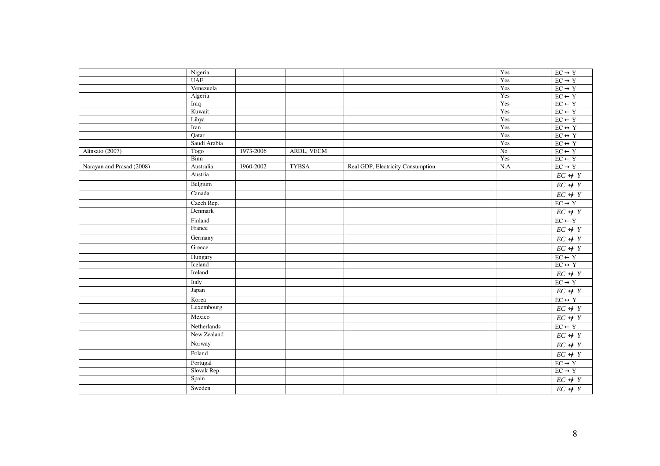|                           | Nigeria      |           |              |                                   | Yes            | $EC \rightarrow Y$                 |
|---------------------------|--------------|-----------|--------------|-----------------------------------|----------------|------------------------------------|
|                           | <b>UAE</b>   |           |              |                                   | Yes            | $EC \rightarrow Y$                 |
|                           | Venezuela    |           |              |                                   | Yes            | $EC \rightarrow Y$                 |
|                           | Algeria      |           |              |                                   | Yes            | $\text{EC} \leftarrow \text{Y}$    |
|                           | Iraq         |           |              |                                   | Yes            | $\text{EC} \leftarrow \text{Y}$    |
|                           | Kuwait       |           |              |                                   | Yes            | $EC \leftarrow Y$                  |
|                           | Libya        |           |              |                                   | Yes            | $EC \leftarrow Y$                  |
|                           | Iran         |           |              |                                   | Yes            | $EC \leftrightarrow Y$             |
|                           | Qatar        |           |              |                                   | Yes            | $EC \leftrightarrow Y$             |
|                           | Saudi Arabia |           |              |                                   | Yes            | $EC\leftrightarrow Y$              |
| Alinsato (2007)           | Togo         | 1973-2006 | ARDL, VECM   |                                   | N <sub>o</sub> | $EC \leftarrow Y$                  |
|                           | Binn         |           |              |                                   | Yes            | $EC \leftarrow Y$                  |
| Narayan and Prasad (2008) | Australia    | 1960-2002 | <b>TYBSA</b> | Real GDP, Electricity Consumption | N.A            | $EC \rightarrow Y$                 |
|                           | Austria      |           |              |                                   |                | $EC \nleftrightarrow Y$            |
|                           | Belgium      |           |              |                                   |                | $EC \nleftrightarrow Y$            |
|                           | Canada       |           |              |                                   |                | $EC \leftrightarrow Y$             |
|                           | Czech Rep.   |           |              |                                   |                | $EC \rightarrow Y$                 |
|                           | Denmark      |           |              |                                   |                | $EC\nleftrightarrow Y$             |
|                           | Finland      |           |              |                                   |                | $EC \leftarrow Y$                  |
|                           | France       |           |              |                                   |                | $EC\nleftrightarrow Y$             |
|                           | Germany      |           |              |                                   |                | $\overline{EC} \nleftrightarrow Y$ |
|                           | Greece       |           |              |                                   |                | $EC \nleftrightarrow Y$            |
|                           | Hungary      |           |              |                                   |                | $\text{EC} \leftarrow \text{Y}$    |
|                           | Iceland      |           |              |                                   |                | $EC \leftrightarrow Y$             |
|                           | Ireland      |           |              |                                   |                | $EC \nleftrightarrow Y$            |
|                           | Italy        |           |              |                                   |                | $EC \rightarrow Y$                 |
|                           | Japan        |           |              |                                   |                | $EC \nleftrightarrow Y$            |
|                           | Korea        |           |              |                                   |                | $EC\leftrightarrow Y$              |
|                           | Luxembourg   |           |              |                                   |                | $\overline{EC} \nleftrightarrow Y$ |
|                           | Mexico       |           |              |                                   |                | $\overline{EC} \nleftrightarrow Y$ |
|                           | Netherlands  |           |              |                                   |                | $EC \leftarrow Y$                  |
|                           | New Zealand  |           |              |                                   |                | $EC \leftrightarrow Y$             |
|                           | Norway       |           |              |                                   |                | $\overline{EC \leftrightarrow Y}$  |
|                           | Poland       |           |              |                                   |                | $EC \nleftrightarrow Y$            |
|                           | Portugal     |           |              |                                   |                | $EC \rightarrow Y$                 |
|                           | Slovak Rep.  |           |              |                                   |                | $EC \to Y$                         |
|                           | Spain        |           |              |                                   |                | $EC \not\leftrightarrow Y$         |
|                           | Sweden       |           |              |                                   |                | $EC\nleftrightarrow Y$             |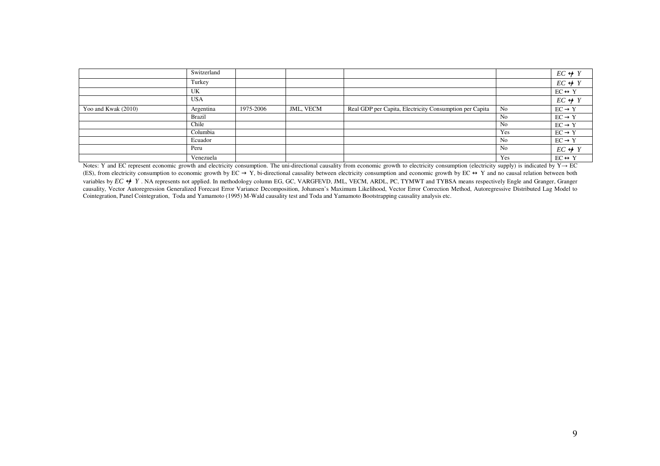|                     | Switzerland |           |                  |                                                         |                | $EC \nleftrightarrow Y$ |
|---------------------|-------------|-----------|------------------|---------------------------------------------------------|----------------|-------------------------|
|                     | Turkey      |           |                  |                                                         |                | $EC \nleftrightarrow Y$ |
|                     | UK          |           |                  |                                                         |                | $EC \leftrightarrow Y$  |
|                     | <b>USA</b>  |           |                  |                                                         |                | $EC \nleftrightarrow Y$ |
| Yoo and Kwak (2010) | Argentina   | 1975-2006 | <b>JML, VECM</b> | Real GDP per Capita, Electricity Consumption per Capita | N <sub>0</sub> | $EC \rightarrow Y$      |
|                     | Brazil      |           |                  |                                                         | N <sub>0</sub> | $EC \rightarrow Y$      |
|                     | Chile       |           |                  |                                                         | N <sub>0</sub> | $EC \rightarrow Y$      |
|                     | Columbia    |           |                  |                                                         | Yes            | $EC \rightarrow Y$      |
|                     | Ecuador     |           |                  |                                                         | N <sub>0</sub> | $EC \rightarrow Y$      |
|                     | Peru        |           |                  |                                                         | N <sub>0</sub> | $EC \leftrightarrow Y$  |
|                     | Venezuela   |           |                  |                                                         | Yes            | $EC \leftrightarrow Y$  |

Notes: Y and EC represent economic growth and electricity consumption. The uni-directional causality from economic growth to electricity consumption (electricity supply) is indicated by  $Y \rightarrow EC$ (ES), from electricity consumption to economic growth by  $EC \rightarrow Y$ , bi-directional causality between electricity consumption and economic growth by  $EC \leftrightarrow Y$  and no causal relation between both variables by *EC*  $\leftrightarrow$  Y. NA represents not applied. In methodology column EG, GC, VARGFEVD, JML, VECM, ARDL, PC, TYMWT and TYBSA means respectively Engle and Granger, Granger causality, Vector Autoregression Generalized Forecast Error Variance Decomposition, Johansen's Maximum Likelihood, Vector Error Correction Method, Autoregressive Distributed Lag Model to Cointegration, Panel Cointegration, Toda and Yamamoto (1995) M-Wald causality test and Toda and Yamamoto Bootstrapping causality analysis etc.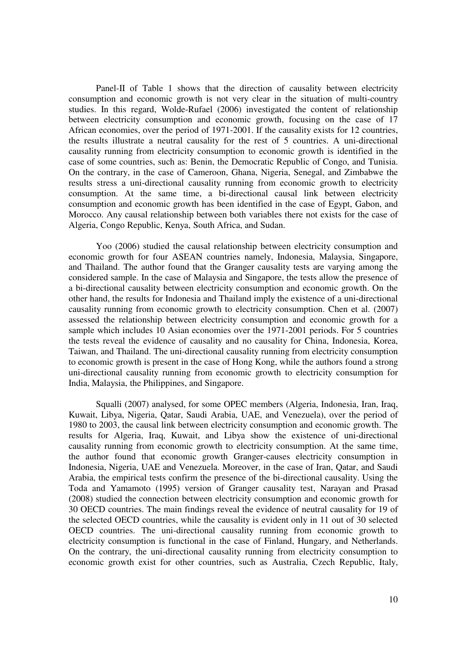Panel-II of Table 1 shows that the direction of causality between electricity consumption and economic growth is not very clear in the situation of multi-country studies. In this regard, Wolde-Rufael (2006) investigated the content of relationship between electricity consumption and economic growth, focusing on the case of 17 African economies, over the period of 1971-2001. If the causality exists for 12 countries, the results illustrate a neutral causality for the rest of 5 countries. A uni-directional causality running from electricity consumption to economic growth is identified in the case of some countries, such as: Benin, the Democratic Republic of Congo, and Tunisia. On the contrary, in the case of Cameroon, Ghana, Nigeria, Senegal, and Zimbabwe the results stress a uni-directional causality running from economic growth to electricity consumption. At the same time, a bi-directional causal link between electricity consumption and economic growth has been identified in the case of Egypt, Gabon, and Morocco. Any causal relationship between both variables there not exists for the case of Algeria, Congo Republic, Kenya, South Africa, and Sudan.

Yoo (2006) studied the causal relationship between electricity consumption and economic growth for four ASEAN countries namely, Indonesia, Malaysia, Singapore, and Thailand. The author found that the Granger causality tests are varying among the considered sample. In the case of Malaysia and Singapore, the tests allow the presence of a bi-directional causality between electricity consumption and economic growth. On the other hand, the results for Indonesia and Thailand imply the existence of a uni-directional causality running from economic growth to electricity consumption. Chen et al. (2007) assessed the relationship between electricity consumption and economic growth for a sample which includes 10 Asian economies over the 1971-2001 periods. For 5 countries the tests reveal the evidence of causality and no causality for China, Indonesia, Korea, Taiwan, and Thailand. The uni-directional causality running from electricity consumption to economic growth is present in the case of Hong Kong, while the authors found a strong uni-directional causality running from economic growth to electricity consumption for India, Malaysia, the Philippines, and Singapore.

Squalli (2007) analysed, for some OPEC members (Algeria, Indonesia, Iran, Iraq, Kuwait, Libya, Nigeria, Qatar, Saudi Arabia, UAE, and Venezuela), over the period of 1980 to 2003, the causal link between electricity consumption and economic growth. The results for Algeria, Iraq, Kuwait, and Libya show the existence of uni-directional causality running from economic growth to electricity consumption. At the same time, the author found that economic growth Granger-causes electricity consumption in Indonesia, Nigeria, UAE and Venezuela. Moreover, in the case of Iran, Qatar, and Saudi Arabia, the empirical tests confirm the presence of the bi-directional causality. Using the Toda and Yamamoto (1995) version of Granger causality test, Narayan and Prasad (2008) studied the connection between electricity consumption and economic growth for 30 OECD countries. The main findings reveal the evidence of neutral causality for 19 of the selected OECD countries, while the causality is evident only in 11 out of 30 selected OECD countries. The uni-directional causality running from economic growth to electricity consumption is functional in the case of Finland, Hungary, and Netherlands. On the contrary, the uni-directional causality running from electricity consumption to economic growth exist for other countries, such as Australia, Czech Republic, Italy,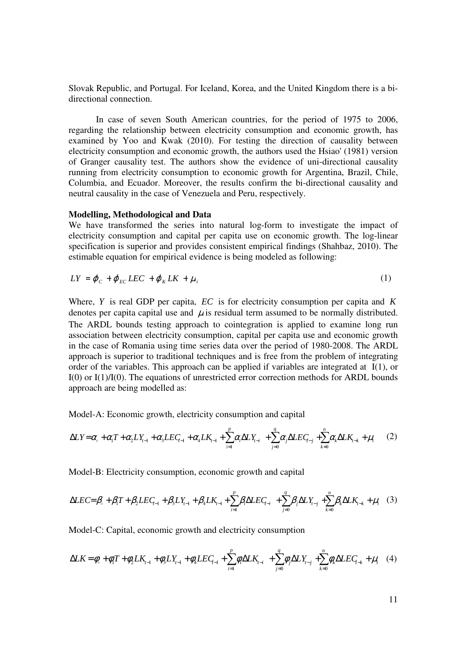Slovak Republic, and Portugal. For Iceland, Korea, and the United Kingdom there is a bidirectional connection.

In case of seven South American countries, for the period of 1975 to 2006, regarding the relationship between electricity consumption and economic growth, has examined by Yoo and Kwak (2010). For testing the direction of causality between electricity consumption and economic growth, the authors used the Hsiao' (1981) version of Granger causality test. The authors show the evidence of uni-directional causality running from electricity consumption to economic growth for Argentina, Brazil, Chile, Columbia, and Ecuador. Moreover, the results confirm the bi-directional causality and neutral causality in the case of Venezuela and Peru, respectively.

#### **Modelling, Methodological and Data**

We have transformed the series into natural log-form to investigate the impact of electricity consumption and capital per capita use on economic growth. The log-linear specification is superior and provides consistent empirical findings (Shahbaz, 2010). The estimable equation for empirical evidence is being modeled as following:

$$
LY = \varphi_c + \varphi_{EC} LEC + \varphi_K LK + \mu_i
$$
 (1)

Where, *Y* is real GDP per capita, *EC* is for electricity consumption per capita and *K* denotes per capital use and  $\mu$  is residual term assumed to be normally distributed. The ARDL bounds testing approach to cointegration is applied to examine long run association between electricity consumption, capital per capita use and economic growth in the case of Romania using time series data over the period of 1980-2008. The ARDL approach is superior to traditional techniques and is free from the problem of integrating order of the variables. This approach can be applied if variables are integrated at I(1), or I(0) or I(1)/I(0). The equations of unrestricted error correction methods for ARDL bounds approach are being modelled as:

Model-A: Economic growth, electricity consumption and capital

$$
\Delta LY = \alpha_{s} + \alpha_{1}T + \alpha_{2}LY_{t-1} + \alpha_{3}LEC_{t-1} + \alpha_{4}LK_{t-1} + \sum_{i=1}^{p} \alpha_{i}\Delta LY_{t-i} + \sum_{j=0}^{q} \alpha_{j}\Delta LEC_{t-j} + \sum_{k=0}^{n} \alpha_{k}\Delta LK_{t-k} + \mu_{i}
$$
 (2)

Model-B: Electricity consumption, economic growth and capital

$$
\Delta LEC = \beta_{\circ} + \beta_{1}T + \beta_{2} LEC_{i-1} + \beta_{3}LY_{i-1} + \beta_{4}LK_{i-1} + \sum_{i=1}^{p} \beta_{i}\Delta LEC_{i-i} + \sum_{j=0}^{q} \beta_{j}\Delta LY_{i-j} + \sum_{k=0}^{n} \beta_{k}\Delta LK_{i-k} + \mu_{i} \quad (3)
$$

Model-C: Capital, economic growth and electricity consumption

$$
\Delta L K = \phi_{\circ} + \phi_{1} T + \phi_{2} L K_{t-1} + \phi_{3} L Y_{t-1} + \phi_{4} L E C_{t-1} + \sum_{i=1}^{p} \phi_{i} \Delta L K_{t-i} + \sum_{j=0}^{q} \phi_{j} \Delta L Y_{t-j} + \sum_{k=0}^{n} \phi_{k} \Delta L E C_{t-k} + \mu_{i} \quad (4)
$$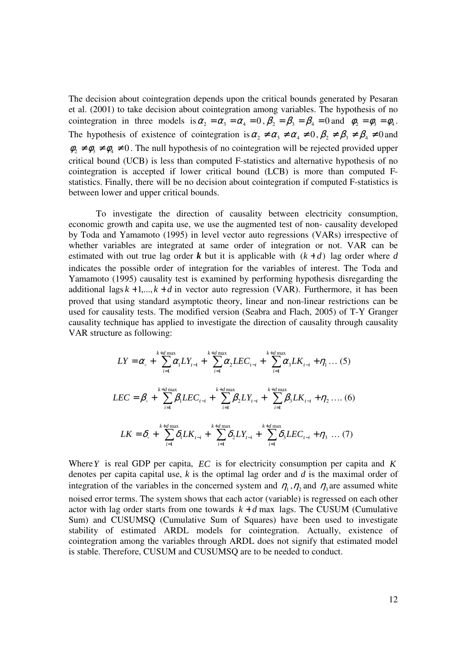The decision about cointegration depends upon the critical bounds generated by Pesaran et al. (2001) to take decision about cointegration among variables. The hypothesis of no cointegration in three models is  $\alpha_2 = \alpha_3 = \alpha_4 = 0$ ,  $\beta_2 = \beta_3 = \beta_4 = 0$  and  $\phi_2 = \phi_3 = \phi_4$ . The hypothesis of existence of cointegration is  $\alpha_2 \neq \alpha_3 \neq \alpha_4 \neq 0$ ,  $\beta_2 \neq \beta_3 \neq \beta_4 \neq 0$  and  $\phi_2 \neq \phi_3 \neq \phi_4 \neq 0$ . The null hypothesis of no cointegration will be rejected provided upper critical bound (UCB) is less than computed F-statistics and alternative hypothesis of no cointegration is accepted if lower critical bound (LCB) is more than computed Fstatistics. Finally, there will be no decision about cointegration if computed F-statistics is between lower and upper critical bounds.

To investigate the direction of causality between electricity consumption, economic growth and capita use, we use the augmented test of non- causality developed by Toda and Yamamoto (1995) in level vector auto regressions (VARs) irrespective of whether variables are integrated at same order of integration or not. VAR can be estimated with out true lag order **k** but it is applicable with  $(k + d)$  lag order where *d* indicates the possible order of integration for the variables of interest. The Toda and Yamamoto (1995) causality test is examined by performing hypothesis disregarding the additional lags  $k + 1, \ldots, k + d$  in vector auto regression (VAR). Furthermore, it has been proved that using standard asymptotic theory, linear and non-linear restrictions can be used for causality tests. The modified version (Seabra and Flach, 2005) of T-Y Granger causality technique has applied to investigate the direction of causality through causality VAR structure as following:

$$
LY = \alpha_{\circ} + \sum_{i=1}^{k+d} \alpha_{i} LY_{t-1} + \sum_{i=1}^{k+d} \alpha_{2} LEC_{t-i} + \sum_{i=1}^{k+d} \alpha_{3} LK_{t-i} + \eta_{1} ... (5)
$$
  

$$
LEC = \beta_{\circ} + \sum_{i=1}^{k+d} \beta_{i} LEC_{t-i} + \sum_{i=1}^{k+d} \beta_{2} LY_{t-i} + \sum_{i=1}^{k+d} \beta_{3} LK_{t-i} + \eta_{2} ... (6)
$$
  

$$
LK = \delta_{\circ} + \sum_{i=1}^{k+d} \delta_{i} LK_{t-i} + \sum_{i=1}^{k+d} \delta_{2} LY_{t-i} + \sum_{i=1}^{k+d} \delta_{3} LEC_{t-i} + \eta_{3} ... (7)
$$

Where*Y* is real GDP per capita, *EC* is for electricity consumption per capita and *K* denotes per capita capital use, *k* is the optimal lag order and *d* is the maximal order of integration of the variables in the concerned system and  $\eta_1$ ,  $\eta_2$  and  $\eta_3$  are assumed white noised error terms. The system shows that each actor (variable) is regressed on each other actor with lag order starts from one towards  $k + d$  max lags. The CUSUM (Cumulative Sum) and CUSUMSQ (Cumulative Sum of Squares) have been used to investigate stability of estimated ARDL models for cointegration. Actually, existence of cointegration among the variables through ARDL does not signify that estimated model is stable. Therefore, CUSUM and CUSUMSQ are to be needed to conduct.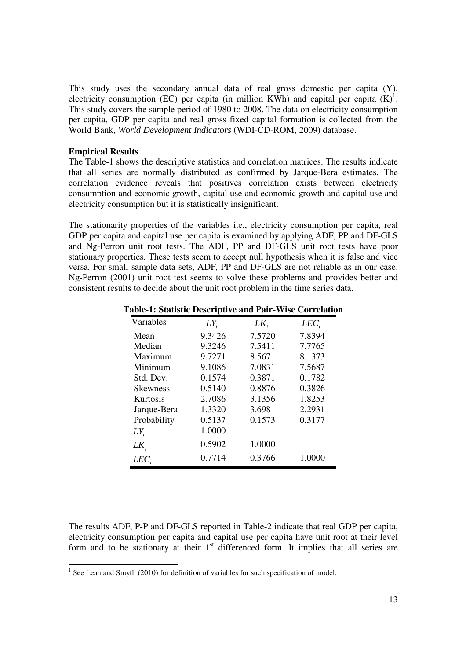This study uses the secondary annual data of real gross domestic per capita (Y), electricity consumption (EC) per capita (in million KWh) and capital per capita  $(K)^{1}$ . This study covers the sample period of 1980 to 2008. The data on electricity consumption per capita, GDP per capita and real gross fixed capital formation is collected from the World Bank, *World Development Indicators* (WDI-CD-ROM, 2009) database.

## **Empirical Results**

The Table-1 shows the descriptive statistics and correlation matrices. The results indicate that all series are normally distributed as confirmed by Jarque-Bera estimates. The correlation evidence reveals that positives correlation exists between electricity consumption and economic growth, capital use and economic growth and capital use and electricity consumption but it is statistically insignificant.

The stationarity properties of the variables i.e., electricity consumption per capita, real GDP per capita and capital use per capita is examined by applying ADF, PP and DF-GLS and Ng-Perron unit root tests. The ADF, PP and DF-GLS unit root tests have poor stationary properties. These tests seem to accept null hypothesis when it is false and vice versa. For small sample data sets, ADF, PP and DF-GLS are not reliable as in our case. Ng-Perron (2001) unit root test seems to solve these problems and provides better and consistent results to decide about the unit root problem in the time series data.

| Variables       | $LY_{t}$ | $LK_{t}$ | $LEC$ , |
|-----------------|----------|----------|---------|
| Mean            | 9.3426   | 7.5720   | 7.8394  |
| Median          | 9.3246   | 7.5411   | 7.7765  |
| Maximum         | 9.7271   | 8.5671   | 8.1373  |
| Minimum         | 9.1086   | 7.0831   | 7.5687  |
| Std. Dev.       | 0.1574   | 0.3871   | 0.1782  |
| <b>Skewness</b> | 0.5140   | 0.8876   | 0.3826  |
| Kurtosis        | 2.7086   | 3.1356   | 1.8253  |
| Jarque-Bera     | 1.3320   | 3.6981   | 2.2931  |
| Probability     | 0.5137   | 0.1573   | 0.3177  |
| $LY_{t}$        | 1.0000   |          |         |
| $LK_{t}$        | 0.5902   | 1.0000   |         |
| $LEC$ ,         | 0.7714   | 0.3766   | 1.0000  |

#### **Table-1: Statistic Descriptive and Pair-Wise Correlation**

The results ADF, P-P and DF-GLS reported in Table-2 indicate that real GDP per capita, electricity consumption per capita and capital use per capita have unit root at their level form and to be stationary at their  $1<sup>st</sup>$  differenced form. It implies that all series are

<sup>&</sup>lt;sup>1</sup> See Lean and Smyth (2010) for definition of variables for such specification of model.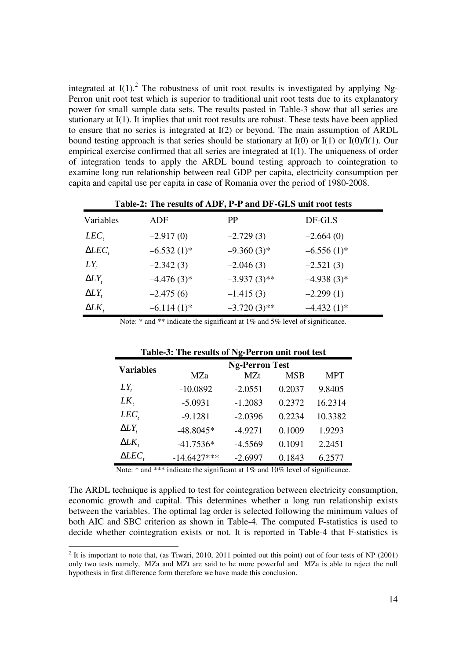integrated at  $I(1)$ .<sup>2</sup> The robustness of unit root results is investigated by applying Ng-Perron unit root test which is superior to traditional unit root tests due to its explanatory power for small sample data sets. The results pasted in Table-3 show that all series are stationary at I(1). It implies that unit root results are robust. These tests have been applied to ensure that no series is integrated at I(2) or beyond. The main assumption of ARDL bound testing approach is that series should be stationary at  $I(0)$  or  $I(1)$  or  $I(0)/I(1)$ . Our empirical exercise confirmed that all series are integrated at I(1). The uniqueness of order of integration tends to apply the ARDL bound testing approach to cointegration to examine long run relationship between real GDP per capita, electricity consumption per capita and capital use per capita in case of Romania over the period of 1980-2008.

|                 | TWOLE IT THE LOCALED OF THE LAT THE RIGHT OF CHOCKLOGE CODE |                |               |
|-----------------|-------------------------------------------------------------|----------------|---------------|
| Variables       | ADF                                                         | <b>PP</b>      | DF-GLS        |
| $LEC_{t}$       | $-2.917(0)$                                                 | $-2.729(3)$    | $-2.664(0)$   |
| $\Delta LEC$ ,  | $-6.532(1)$ *                                               | $-9.360(3)$ *  | $-6.556(1)$ * |
| $LY_{t}$        | $-2.342(3)$                                                 | $-2.046(3)$    | $-2.521(3)$   |
| $\Delta LY_{t}$ | $-4.476(3)$ *                                               | $-3.937(3)$ ** | $-4.938(3)*$  |
| $\Delta LY_{t}$ | $-2.475(6)$                                                 | $-1.415(3)$    | $-2.299(1)$   |
| $\Delta L K$    | $-6.114(1)$ *                                               | $-3.720(3)$ ** | $-4.432(1)$ * |

**Table-2: The results of ADF, P-P and DF-GLS unit root tests** 

Note: \* and \*\* indicate the significant at 1% and 5% level of significance.

| Table-5. The results of Fight error unit root lest |                       |            |            |            |  |  |
|----------------------------------------------------|-----------------------|------------|------------|------------|--|--|
| <b>Variables</b>                                   | <b>Ng-Perron Test</b> |            |            |            |  |  |
|                                                    | <b>MZa</b>            | <b>MZt</b> | <b>MSB</b> | <b>MPT</b> |  |  |
| $LY_{t}$                                           | $-10.0892$            | $-2.0551$  | 0.2037     | 9.8405     |  |  |
| $LK_{t}$                                           | $-5.0931$             | $-1.2083$  | 0.2372     | 16.2314    |  |  |
| $LEC$ ,                                            | $-9.1281$             | $-2.0396$  | 0.2234     | 10.3382    |  |  |
| $\Delta LY_{t}$                                    | $-48.8045*$           | $-4.9271$  | 0.1009     | 1.9293     |  |  |
| $\Delta L K$ ,                                     | $-41.7536*$           | $-4.5569$  | 0.1091     | 2.2451     |  |  |
| $\Delta LEC$ ,                                     | $-14.6427***$         | $-2.6997$  | 0.1843     | 6.2577     |  |  |

Note: \* and \*\*\* indicate the significant at 1% and 10% level of significance.

The ARDL technique is applied to test for cointegration between electricity consumption, economic growth and capital. This determines whether a long run relationship exists between the variables. The optimal lag order is selected following the minimum values of both AIC and SBC criterion as shown in Table-4. The computed F-statistics is used to decide whether cointegration exists or not. It is reported in Table-4 that F-statistics is

<sup>&</sup>lt;sup>2</sup> It is important to note that, (as Tiwari, 2010, 2011 pointed out this point) out of four tests of NP (2001) only two tests namely, MZa and MZt are said to be more powerful and MZa is able to reject the null hypothesis in first difference form therefore we have made this conclusion.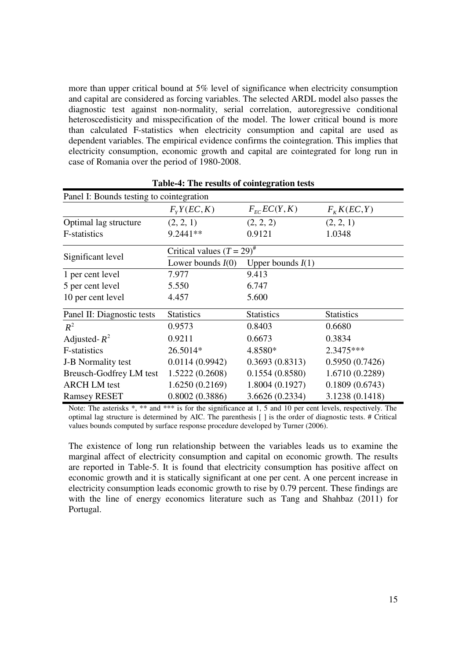more than upper critical bound at 5% level of significance when electricity consumption and capital are considered as forcing variables. The selected ARDL model also passes the diagnostic test against non-normality, serial correlation, autoregressive conditional heteroscedisticity and misspecification of the model. The lower critical bound is more than calculated F-statistics when electricity consumption and capital are used as dependent variables. The empirical evidence confirms the cointegration. This implies that electricity consumption, economic growth and capital are cointegrated for long run in case of Romania over the period of 1980-2008.

| Panel I: Bounds testing to cointegration |                                 |                                     |                   |
|------------------------------------------|---------------------------------|-------------------------------------|-------------------|
|                                          | $F_{Y}Y(EC, K)$                 | $F_{\scriptscriptstyle{FC}}EC(Y,K)$ | $F_KK(EC,Y)$      |
| Optimal lag structure                    | (2, 2, 1)                       | (2, 2, 2)                           | (2, 2, 1)         |
| F-statistics                             | 9.2441**                        | 0.9121                              | 1.0348            |
|                                          | Critical values $(T = 29)^{\#}$ |                                     |                   |
| Significant level                        | Lower bounds $I(0)$             | Upper bounds $I(1)$                 |                   |
| 1 per cent level                         | 7.977                           | 9.413                               |                   |
| 5 per cent level                         | 5.550                           | 6.747                               |                   |
| 10 per cent level                        | 4.457                           | 5.600                               |                   |
| Panel II: Diagnostic tests               | <b>Statistics</b>               | <b>Statistics</b>                   | <b>Statistics</b> |
| $R^2$                                    | 0.9573                          | 0.8403                              | 0.6680            |
| Adjusted- $R^2$                          | 0.9211                          | 0.6673                              | 0.3834            |
| F-statistics                             | 26.5014*                        | 4.8580*                             | 2.3475***         |
| <b>J-B</b> Normality test                | 0.0114(0.9942)                  | 0.3693(0.8313)                      | 0.5950(0.7426)    |
| Breusch-Godfrey LM test                  | 1.5222 (0.2608)                 | 0.1554(0.8580)                      | 1.6710 (0.2289)   |
| <b>ARCH LM</b> test                      | 1.6250 (0.2169)                 | 1.8004 (0.1927)                     | 0.1809(0.6743)    |
| <b>Ramsey RESET</b>                      | 0.8002(0.3886)                  | 3.6626 (0.2334)                     | 3.1238 (0.1418)   |

**Table-4: The results of cointegration tests** 

Note: The asterisks \*, \*\* and \*\*\* is for the significance at 1, 5 and 10 per cent levels, respectively. The optimal lag structure is determined by AIC. The parenthesis [ ] is the order of diagnostic tests. # Critical values bounds computed by surface response procedure developed by Turner (2006).

The existence of long run relationship between the variables leads us to examine the marginal affect of electricity consumption and capital on economic growth. The results are reported in Table-5. It is found that electricity consumption has positive affect on economic growth and it is statically significant at one per cent. A one percent increase in electricity consumption leads economic growth to rise by 0.79 percent. These findings are with the line of energy economics literature such as Tang and Shahbaz (2011) for Portugal.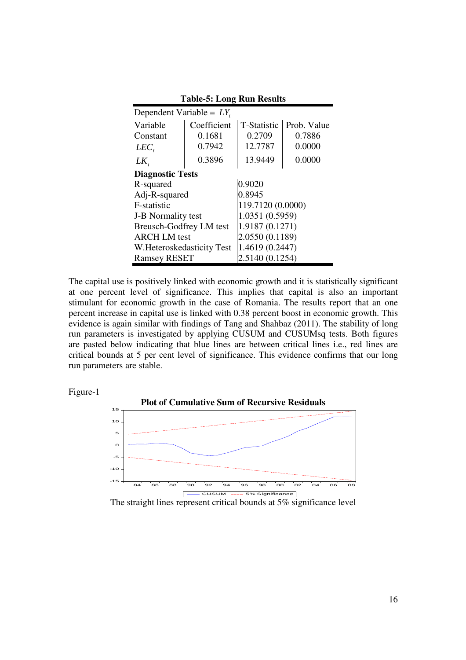| Dependent Variable = $LY$ ,    |             |                                   |        |  |
|--------------------------------|-------------|-----------------------------------|--------|--|
| Variable                       | Coefficient | <b>T-Statistic</b><br>Prob. Value |        |  |
| Constant                       | 0.1681      | 0.2709                            | 0.7886 |  |
| $LEC_{t}$                      | 0.7942      | 12.7787                           | 0.0000 |  |
| $LK_{t}$                       | 0.3896      | 13.9449                           | 0.0000 |  |
| <b>Diagnostic Tests</b>        |             |                                   |        |  |
| R-squared                      |             | 0.9020                            |        |  |
| Adj-R-squared                  |             | 0.8945                            |        |  |
| F-statistic                    |             | 119.7120 (0.0000)                 |        |  |
| <b>J-B Normality test</b>      |             | 1.0351 (0.5959)                   |        |  |
| <b>Breusch-Godfrey LM test</b> |             | 1.9187 (0.1271)                   |        |  |
| <b>ARCH LM</b> test            |             | 2.0550 (0.1189)                   |        |  |
| W. Heteroskedasticity Test     |             | 1.4619 (0.2447)                   |        |  |
| <b>Ramsey RESET</b>            |             | 2.5140 (0.1254)                   |        |  |

**Table-5: Long Run Results** 

The capital use is positively linked with economic growth and it is statistically significant at one percent level of significance. This implies that capital is also an important stimulant for economic growth in the case of Romania. The results report that an one percent increase in capital use is linked with 0.38 percent boost in economic growth. This evidence is again similar with findings of Tang and Shahbaz (2011). The stability of long run parameters is investigated by applying CUSUM and CUSUMsq tests. Both figures are pasted below indicating that blue lines are between critical lines i.e., red lines are critical bounds at 5 per cent level of significance. This evidence confirms that our long run parameters are stable.





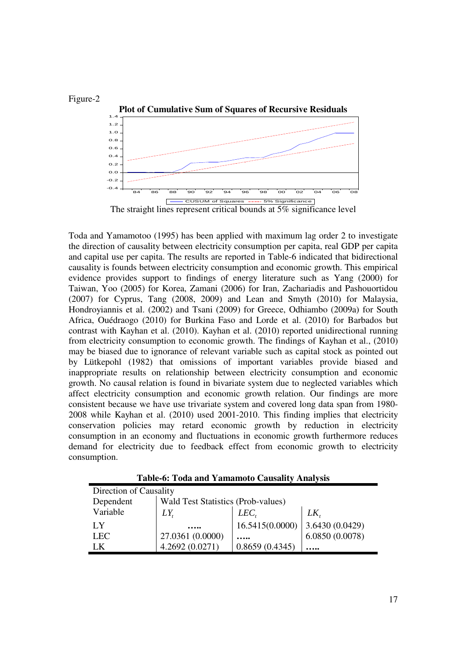

Toda and Yamamotoo (1995) has been applied with maximum lag order 2 to investigate the direction of causality between electricity consumption per capita, real GDP per capita and capital use per capita. The results are reported in Table-6 indicated that bidirectional causality is founds between electricity consumption and economic growth. This empirical evidence provides support to findings of energy literature such as Yang (2000) for Taiwan, Yoo (2005) for Korea, Zamani (2006) for Iran, Zachariadis and Pashouortidou (2007) for Cyprus, Tang (2008, 2009) and Lean and Smyth (2010) for Malaysia, Hondroyiannis et al. (2002) and Tsani (2009) for Greece, Odhiambo (2009a) for South Africa, Ouédraogo (2010) for Burkina Faso and Lorde et al. (2010) for Barbados but contrast with Kayhan et al. (2010). Kayhan et al. (2010) reported unidirectional running from electricity consumption to economic growth. The findings of Kayhan et al., (2010) may be biased due to ignorance of relevant variable such as capital stock as pointed out by Lütkepohl (1982) that omissions of important variables provide biased and inappropriate results on relationship between electricity consumption and economic growth. No causal relation is found in bivariate system due to neglected variables which affect electricity consumption and economic growth relation. Our findings are more consistent because we have use trivariate system and covered long data span from 1980- 2008 while Kayhan et al. (2010) used 2001-2010. This finding implies that electricity conservation policies may retard economic growth by reduction in electricity consumption in an economy and fluctuations in economic growth furthermore reduces demand for electricity due to feedback effect from economic growth to electricity consumption.

| Direction of Causality |                                    |                 |                 |  |  |
|------------------------|------------------------------------|-----------------|-----------------|--|--|
| Dependent              | Wald Test Statistics (Prob-values) |                 |                 |  |  |
| Variable               | LK<br>LEC.<br>LY.                  |                 |                 |  |  |
| LY                     |                                    | 16.5415(0.0000) | 3.6430 (0.0429) |  |  |
| LEC.                   | 27.0361 (0.0000)                   |                 | 6.0850(0.0078)  |  |  |
| ΓK                     | 4.2692 (0.0271)                    | 0.8659(0.4345)  | .               |  |  |

**Table-6: Toda and Yamamoto Causality Analysis**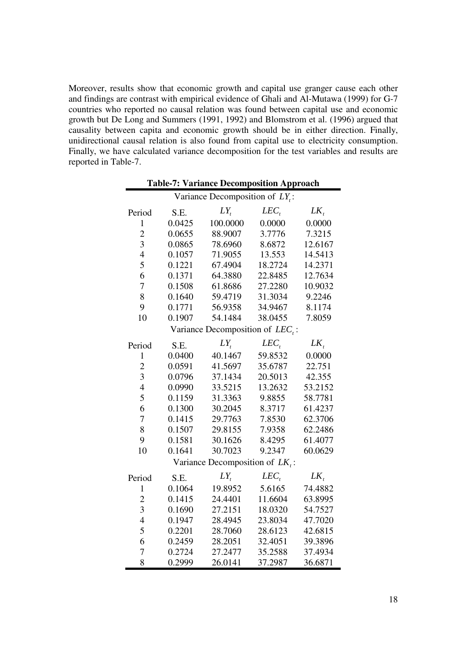Moreover, results show that economic growth and capital use granger cause each other and findings are contrast with empirical evidence of Ghali and Al-Mutawa (1999) for G-7 countries who reported no causal relation was found between capital use and economic growth but De Long and Summers (1991, 1992) and Blomstrom et al. (1996) argued that causality between capita and economic growth should be in either direction. Finally, unidirectional causal relation is also found from capital use to electricity consumption. Finally, we have calculated variance decomposition for the test variables and results are reported in Table-7.

|                         | <b>Table-7: Variance Decomposition Approach</b> |                                  |           |          |  |  |  |
|-------------------------|-------------------------------------------------|----------------------------------|-----------|----------|--|--|--|
|                         |                                                 | Variance Decomposition of LY.:   |           |          |  |  |  |
| Period                  | S.E.                                            | $LY_{t}$                         | $LEC_{t}$ | $LK_{t}$ |  |  |  |
| $\mathbf{1}$            | 0.0425                                          | 100.0000                         | 0.0000    | 0.0000   |  |  |  |
| $\overline{2}$          | 0.0655                                          | 88.9007                          | 3.7776    | 7.3215   |  |  |  |
| $\overline{3}$          | 0.0865                                          | 78.6960                          | 8.6872    | 12.6167  |  |  |  |
| $\overline{4}$          | 0.1057                                          | 71.9055                          | 13.553    | 14.5413  |  |  |  |
| 5                       | 0.1221                                          | 67.4904                          | 18.2724   | 14.2371  |  |  |  |
| 6                       | 0.1371                                          | 64.3880                          | 22.8485   | 12.7634  |  |  |  |
| 7                       | 0.1508                                          | 61.8686                          | 27.2280   | 10.9032  |  |  |  |
| 8                       | 0.1640                                          | 59.4719                          | 31.3034   | 9.2246   |  |  |  |
| 9                       | 0.1771                                          | 56.9358                          | 34.9467   | 8.1174   |  |  |  |
| 10                      | 0.1907                                          | 54.1484                          | 38.0455   | 7.8059   |  |  |  |
|                         |                                                 | Variance Decomposition of LEC.:  |           |          |  |  |  |
| Period                  | S.E.                                            | $LY_{t}$                         | $LEC$ ,   | $LK_{t}$ |  |  |  |
| $\mathbf{1}$            | 0.0400                                          | 40.1467                          | 59.8532   | 0.0000   |  |  |  |
| $\overline{c}$          | 0.0591                                          | 41.5697                          | 35.6787   | 22.751   |  |  |  |
| $\overline{\mathbf{3}}$ | 0.0796                                          | 37.1434                          | 20.5013   | 42.355   |  |  |  |
| $\overline{4}$          | 0.0990                                          | 33.5215                          | 13.2632   | 53.2152  |  |  |  |
| 5                       | 0.1159                                          | 31.3363                          | 9.8855    | 58.7781  |  |  |  |
| 6                       | 0.1300                                          | 30.2045                          | 8.3717    | 61.4237  |  |  |  |
| 7                       | 0.1415                                          | 29.7763                          | 7.8530    | 62.3706  |  |  |  |
| 8                       | 0.1507                                          | 29.8155                          | 7.9358    | 62.2486  |  |  |  |
| 9                       | 0.1581                                          | 30.1626                          | 8.4295    | 61.4077  |  |  |  |
| 10                      | 0.1641                                          | 30.7023                          | 9.2347    | 60.0629  |  |  |  |
|                         |                                                 | Variance Decomposition of $LK$ . |           |          |  |  |  |
| Period                  | S.E.                                            | $LY_{t}$                         | $LEC_{t}$ | $LK_{t}$ |  |  |  |
| $\mathbf{1}$            | 0.1064                                          | 19.8952                          | 5.6165    | 74.4882  |  |  |  |
| $\overline{c}$          | 0.1415                                          | 24.4401                          | 11.6604   | 63.8995  |  |  |  |
| $\overline{3}$          | 0.1690                                          | 27.2151                          | 18.0320   | 54.7527  |  |  |  |
| $\overline{4}$          | 0.1947                                          | 28.4945                          | 23.8034   | 47.7020  |  |  |  |
| 5                       | 0.2201                                          | 28.7060                          | 28.6123   | 42.6815  |  |  |  |
| 6                       | 0.2459                                          | 28.2051                          | 32.4051   | 39.3896  |  |  |  |
| 7                       | 0.2724                                          | 27.2477                          | 35.2588   | 37.4934  |  |  |  |
| 8                       | 0.2999                                          | 26.0141                          | 37.2987   | 36.6871  |  |  |  |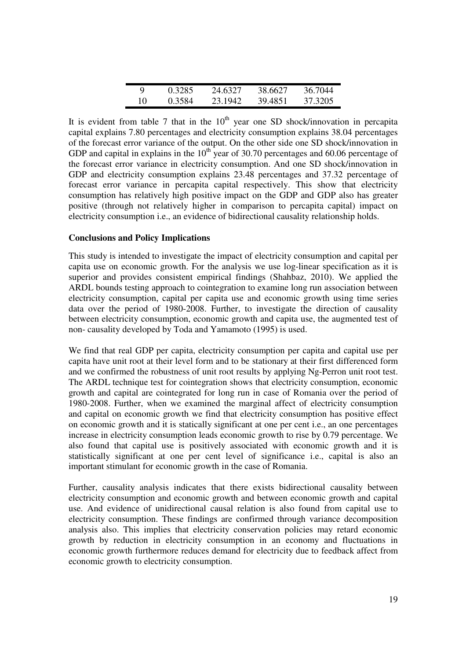| Q  | 0.3285 | 24.6327 | 38.6627 | 36.7044 |
|----|--------|---------|---------|---------|
| 10 | 0.3584 | 23.1942 | 39.4851 | 37.3205 |

It is evident from table 7 that in the  $10<sup>th</sup>$  year one SD shock/innovation in percapita capital explains 7.80 percentages and electricity consumption explains 38.04 percentages of the forecast error variance of the output. On the other side one SD shock/innovation in GDP and capital in explains in the  $10^{th}$  year of 30.70 percentages and 60.06 percentage of the forecast error variance in electricity consumption. And one SD shock/innovation in GDP and electricity consumption explains 23.48 percentages and 37.32 percentage of forecast error variance in percapita capital respectively. This show that electricity consumption has relatively high positive impact on the GDP and GDP also has greater positive (through not relatively higher in comparison to percapita capital) impact on electricity consumption i.e., an evidence of bidirectional causality relationship holds.

# **Conclusions and Policy Implications**

This study is intended to investigate the impact of electricity consumption and capital per capita use on economic growth. For the analysis we use log-linear specification as it is superior and provides consistent empirical findings (Shahbaz, 2010). We applied the ARDL bounds testing approach to cointegration to examine long run association between electricity consumption, capital per capita use and economic growth using time series data over the period of 1980-2008. Further, to investigate the direction of causality between electricity consumption, economic growth and capita use, the augmented test of non- causality developed by Toda and Yamamoto (1995) is used.

We find that real GDP per capita, electricity consumption per capita and capital use per capita have unit root at their level form and to be stationary at their first differenced form and we confirmed the robustness of unit root results by applying Ng-Perron unit root test. The ARDL technique test for cointegration shows that electricity consumption, economic growth and capital are cointegrated for long run in case of Romania over the period of 1980-2008. Further, when we examined the marginal affect of electricity consumption and capital on economic growth we find that electricity consumption has positive effect on economic growth and it is statically significant at one per cent i.e., an one percentages increase in electricity consumption leads economic growth to rise by 0.79 percentage. We also found that capital use is positively associated with economic growth and it is statistically significant at one per cent level of significance i.e., capital is also an important stimulant for economic growth in the case of Romania.

Further, causality analysis indicates that there exists bidirectional causality between electricity consumption and economic growth and between economic growth and capital use. And evidence of unidirectional causal relation is also found from capital use to electricity consumption. These findings are confirmed through variance decomposition analysis also. This implies that electricity conservation policies may retard economic growth by reduction in electricity consumption in an economy and fluctuations in economic growth furthermore reduces demand for electricity due to feedback affect from economic growth to electricity consumption.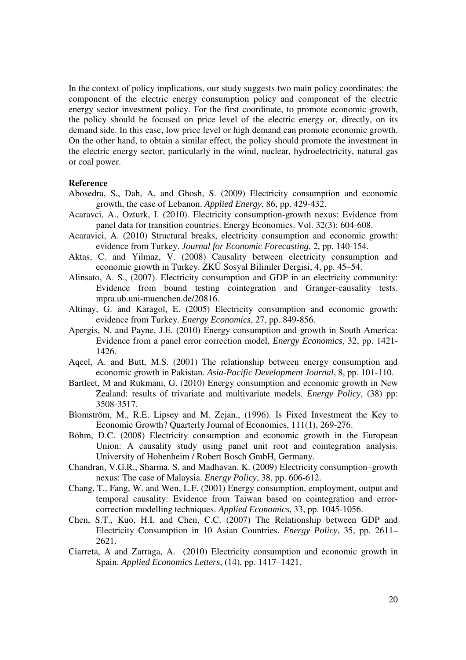In the context of policy implications, our study suggests two main policy coordinates: the component of the electric energy consumption policy and component of the electric energy sector investment policy. For the first coordinate, to promote economic growth, the policy should be focused on price level of the electric energy or, directly, on its demand side. In this case, low price level or high demand can promote economic growth. On the other hand, to obtain a similar effect, the policy should promote the investment in the electric energy sector, particularly in the wind, nuclear, hydroelectricity, natural gas or coal power.

#### **Reference**

- Abosedra, S., Dah, A. and Ghosh, S. (2009) Electricity consumption and economic growth, the case of Lebanon. *Applied Energy*, 86, pp. 429-432.
- Acaravci, A., Ozturk, I. (2010). Electricity consumption-growth nexus: Evidence from panel data for transition countries. Energy Economics. Vol. 32(3): 604-608.
- Acaravici, A. (2010) Structural breaks, electricity consumption and economic growth: evidence from Turkey. *Journal for Economic Forecasting*, 2, pp. 140-154.
- Aktas, C. and Yilmaz, V. (2008) Causality between electricity consumption and economic growth in Turkey. ZKÜ Sosyal Bilimler Dergisi, 4, pp. 45–54.
- Alinsato, A. S., (2007). Electricity consumption and GDP in an electricity community: Evidence from bound testing cointegration and Granger-causality tests. mpra.ub.uni-muenchen.de/20816.
- Altinay, G. and Karagol, E. (2005) Electricity consumption and economic growth: evidence from Turkey. *Energy Economics*, 27, pp. 849-856.
- Apergis, N. and Payne, J.E. (2010) Energy consumption and growth in South America: Evidence from a panel error correction model, *Energy Economics*, 32, pp. 1421- 1426.
- Aqeel, A. and Butt, M.S. (2001) The relationship between energy consumption and economic growth in Pakistan. *Asia-Pacific Development Journal*, 8, pp. 101-110.
- Bartleet, M and Rukmani, G. (2010) Energy consumption and economic growth in New Zealand: results of trivariate and multivariate models. *Energy Policy*, (38) pp: 3508-3517.
- Blomström, M., R.E. Lipsey and M. Zejan., (1996). Is Fixed Investment the Key to Economic Growth? Quarterly Journal of Economics, 111(1), 269-276.
- Böhm, D.C. (2008) Electricity consumption and economic growth in the European Union: A causality study using panel unit root and cointegration analysis. University of Hohenheim / Robert Bosch GmbH, Germany.
- Chandran, V.G.R., Sharma. S. and Madhavan. K. (2009) Electricity consumption–growth nexus: The case of Malaysia. *Energy Policy*, 38, pp. 606-612.
- Chang, T., Fang, W. and Wen, L.F. (2001) Energy consumption, employment, output and temporal causality: Evidence from Taiwan based on cointegration and errorcorrection modelling techniques. *Applied Economics*, 33, pp. 1045-1056.
- Chen, S.T., Kuo, H.I. and Chen, C.C. (2007) The Relationship between GDP and Electricity Consumption in 10 Asian Countries. *Energy Policy*, 35, pp. 2611– 2621.
- Ciarreta, A and Zarraga, A. (2010) Electricity consumption and economic growth in Spain. *Applied Economics Letters*, (14), pp. 1417–1421.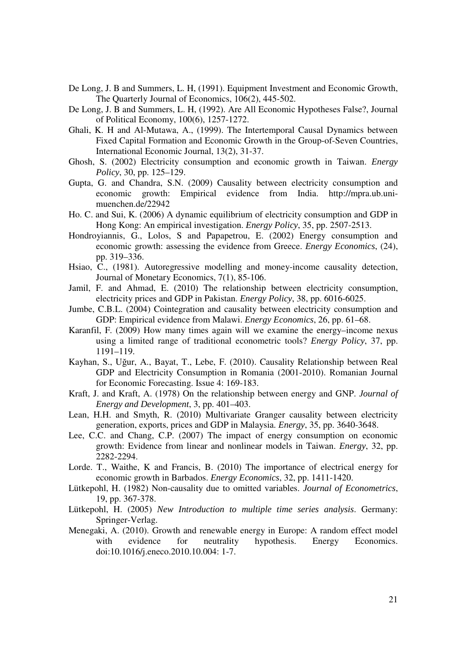- De Long, J. B and Summers, L. H, (1991). Equipment Investment and Economic Growth, The Quarterly Journal of Economics, 106(2), 445-502.
- De Long, J. B and Summers, L. H, (1992). Are All Economic Hypotheses False?, Journal of Political Economy, 100(6), 1257-1272.
- Ghali, K. H and Al-Mutawa, A., (1999). The Intertemporal Causal Dynamics between Fixed Capital Formation and Economic Growth in the Group-of-Seven Countries, International Economic Journal, 13(2), 31-37.
- Ghosh, S. (2002) Electricity consumption and economic growth in Taiwan. *Energy Policy*, 30, pp. 125–129.
- Gupta, G. and Chandra, S.N. (2009) Causality between electricity consumption and economic growth: Empirical evidence from India. http://mpra.ub.unimuenchen.de/22942
- Ho. C. and Sui, K. (2006) A dynamic equilibrium of electricity consumption and GDP in Hong Kong: An empirical investigation. *Energy Policy*, 35, pp. 2507-2513.
- Hondroyiannis, G., Lolos, S and Papapetrou, E. (2002) Energy consumption and economic growth: assessing the evidence from Greece. *Energy Economics*, (24), pp. 319–336.
- Hsiao, C., (1981). Autoregressive modelling and money-income causality detection, Journal of Monetary Economics, 7(1), 85-106.
- Jamil, F. and Ahmad, E. (2010) The relationship between electricity consumption, electricity prices and GDP in Pakistan. *Energy Policy*, 38, pp. 6016-6025.
- Jumbe, C.B.L. (2004) Cointegration and causality between electricity consumption and GDP: Empirical evidence from Malawi. *Energy Economics*, 26, pp. 61–68.
- Karanfil, F. (2009) How many times again will we examine the energy–income nexus using a limited range of traditional econometric tools? *Energy Policy*, 37, pp. 1191–119.
- Kayhan, S., Uğur, A., Bayat, T., Lebe, F. (2010). Causality Relationship between Real GDP and Electricity Consumption in Romania (2001-2010). Romanian Journal for Economic Forecasting. Issue 4: 169-183.
- Kraft, J. and Kraft, A. (1978) On the relationship between energy and GNP. *Journal of Energy and Development*, 3, pp. 401–403.
- Lean, H.H. and Smyth, R. (2010) Multivariate Granger causality between electricity generation, exports, prices and GDP in Malaysia. *Energy*, 35, pp. 3640-3648.
- Lee, C.C. and Chang, C.P. (2007) The impact of energy consumption on economic growth: Evidence from linear and nonlinear models in Taiwan. *Energy*, 32, pp. 2282-2294.
- Lorde. T., Waithe, K and Francis, B. (2010) The importance of electrical energy for economic growth in Barbados. *Energy Economics*, 32, pp. 1411-1420.
- Lütkepohl, H. (1982) Non-causality due to omitted variables. *Journal of Econometrics*, 19, pp. 367-378.
- Lütkepohl, H. (2005) *New Introduction to multiple time series analysis*. Germany: Springer-Verlag.
- Menegaki, A. (2010). Growth and renewable energy in Europe: A random effect model with evidence for neutrality hypothesis. Energy Economics. doi:10.1016/j.eneco.2010.10.004: 1-7.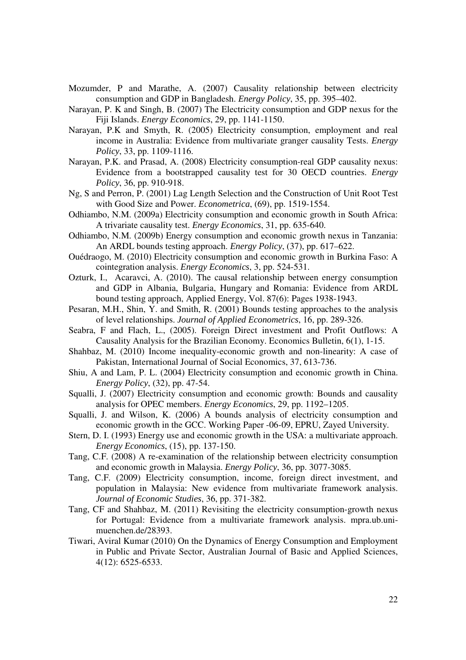- Mozumder, P and Marathe, A. (2007) Causality relationship between electricity consumption and GDP in Bangladesh. *Energy Policy*, 35, pp. 395–402.
- Narayan, P. K and Singh, B. (2007) The Electricity consumption and GDP nexus for the Fiji Islands. *Energy Economics*, 29, pp. 1141-1150.
- Narayan, P.K and Smyth, R. (2005) Electricity consumption, employment and real income in Australia: Evidence from multivariate granger causality Tests. *Energy Policy*, 33, pp. 1109-1116.
- Narayan, P.K. and Prasad, A. (2008) Electricity consumption-real GDP causality nexus: Evidence from a bootstrapped causality test for 30 OECD countries. *Energy Policy*, 36, pp. 910-918.
- Ng, S and Perron, P. (2001) Lag Length Selection and the Construction of Unit Root Test with Good Size and Power. *Econometrica*, (69), pp. 1519-1554.
- Odhiambo, N.M. (2009a) Electricity consumption and economic growth in South Africa: A trivariate causality test. *Energy Economics*, 31, pp. 635-640.
- Odhiambo, N.M. (2009b) Energy consumption and economic growth nexus in Tanzania: An ARDL bounds testing approach. *Energy Policy*, (37), pp. 617–622.
- Ouédraogo, M. (2010) Electricity consumption and economic growth in Burkina Faso: A cointegration analysis. *Energy Economics*, 3, pp. 524-531.
- Ozturk, I., Acaravci, A. (2010). The causal relationship between energy consumption and GDP in Albania, Bulgaria, Hungary and Romania: Evidence from ARDL bound testing approach, Applied Energy, Vol. 87(6): Pages 1938-1943.
- Pesaran, M.H., Shin, Y. and Smith, R. (2001) Bounds testing approaches to the analysis of level relationships. *Journal of Applied Econometrics*, 16, pp. 289-326.
- Seabra, F and Flach, L., (2005). Foreign Direct investment and Profit Outflows: A Causality Analysis for the Brazilian Economy. Economics Bulletin, 6(1), 1-15.
- Shahbaz, M. (2010) Income inequality-economic growth and non-linearity: A case of Pakistan, International Journal of Social Economics, 37, 613-736.
- Shiu, A and Lam, P. L. (2004) Electricity consumption and economic growth in China. *Energy Policy*, (32), pp. 47-54.
- Squalli, J. (2007) Electricity consumption and economic growth: Bounds and causality analysis for OPEC members. *Energy Economics*, 29, pp. 1192–1205.
- Squalli, J. and Wilson, K. (2006) A bounds analysis of electricity consumption and economic growth in the GCC. Working Paper -06-09, EPRU, Zayed University.
- Stern, D. I. (1993) Energy use and economic growth in the USA: a multivariate approach. *Energy Economics*, (15), pp. 137-150.
- Tang, C.F. (2008) A re-examination of the relationship between electricity consumption and economic growth in Malaysia. *Energy Policy*, 36, pp. 3077-3085.
- Tang, C.F. (2009) Electricity consumption, income, foreign direct investment, and population in Malaysia: New evidence from multivariate framework analysis. *Journal of Economic Studies*, 36, pp. 371-382.
- Tang, CF and Shahbaz, M. (2011) Revisiting the electricity consumption-growth nexus for Portugal: Evidence from a multivariate framework analysis. mpra.ub.unimuenchen.de/28393.
- Tiwari, Aviral Kumar (2010) On the Dynamics of Energy Consumption and Employment in Public and Private Sector, Australian Journal of Basic and Applied Sciences, 4(12): 6525-6533.